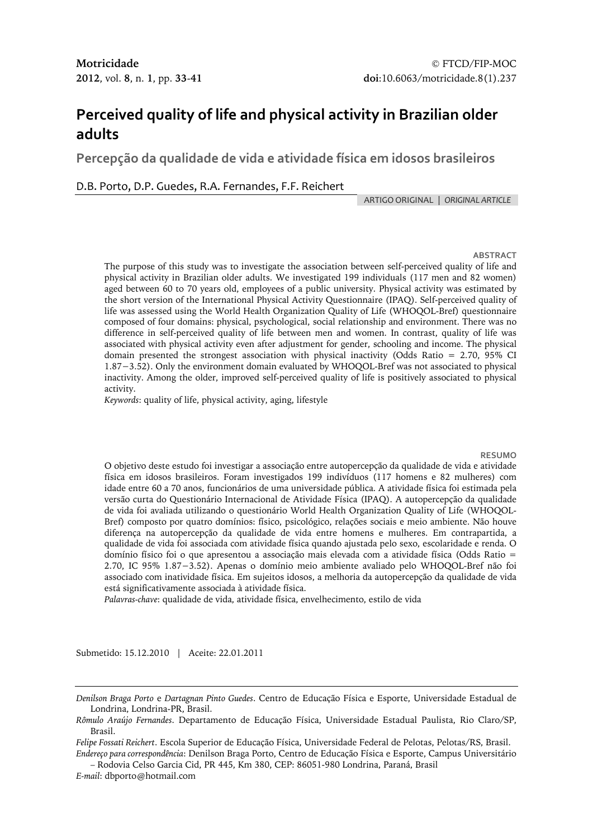# **Perceived quality of life and physical activity in Brazilian older adults**

**Percepção da qualidade de vida e atividade física em idosos brasileiros**

D.B. Porto, D.P. Guedes, R.A. Fernandes, F.F. Reichert

ARTIGOORIGINAL | *ORIGINAL ARTICLE*

**ABSTRACT**

The purpose of this study was to investigate the association between self-perceived quality of life and physical activity in Brazilian older adults. We investigated 199 individuals (117 men and 82 women) aged between 60 to 70 years old, employees of a public university. Physical activity was estimated by the short version of the International Physical Activity Questionnaire (IPAQ). Self-perceived quality of life was assessed using the World Health Organization Quality of Life (WHOQOL-Bref) questionnaire composed of four domains: physical, psychological, social relationship and environment. There was no difference in self-perceived quality of life between men and women. In contrast, quality of life was associated with physical activity even after adjustment for gender, schooling and income. The physical domain presented the strongest association with physical inactivity (Odds Ratio = 2.70, 95% CI 1.87−3.52). Only the environment domain evaluated by WHOQOL-Bref was not associated to physical inactivity. Among the older, improved self-perceived quality of life is positively associated to physical activity.

*Keywords*: quality of life, physical activity, aging, lifestyle

**RESUMO**

O objetivo deste estudo foi investigar a associação entre autopercepção da qualidade de vida e atividade física em idosos brasileiros. Foram investigados 199 indivíduos (117 homens e 82 mulheres) com idade entre 60 a 70 anos, funcionários de uma universidade pública. A atividade física foi estimada pela versão curta do Questionário Internacional de Atividade Física (IPAQ). A autopercepção da qualidade de vida foi avaliada utilizando o questionário World Health Organization Quality of Life (WHOQOL-Bref) composto por quatro domínios: físico, psicológico, relações sociais e meio ambiente. Não houve diferença na autopercepção da qualidade de vida entre homens e mulheres. Em contrapartida, a qualidade de vida foi associada com atividade física quando ajustada pelo sexo, escolaridade e renda. O domínio físico foi o que apresentou a associação mais elevada com a atividade física (Odds Ratio = 2.70, IC 95% 1.87−3.52). Apenas o domínio meio ambiente avaliado pelo WHOQOL-Bref não foi associado com inatividade física. Em sujeitos idosos, a melhoria da autopercepção da qualidade de vida está significativamente associada à atividade física.

*Palavras-chave*: qualidade de vida, atividade física, envelhecimento, estilo de vida

Submetido: 15.12.2010 | Aceite: 22.01.2011

*Endereço para correspondência*: Denilson Braga Porto, Centro de Educação Física e Esporte, Campus Universitário – Rodovia Celso Garcia Cid, PR 445, Km 380, CEP: 86051-980 Londrina, Paraná, Brasil

*E-mail*: dbporto@hotmail.com

*Denilson Braga Porto* e *Dartagnan Pinto Guedes*. Centro de Educação Física e Esporte, Universidade Estadual de Londrina, Londrina-PR, Brasil.

*Rômulo Araújo Fernandes*. Departamento de Educação Física, Universidade Estadual Paulista, Rio Claro/SP, Brasil.

*Felipe Fossati Reichert*. Escola Superior de Educação Física, Universidade Federal de Pelotas, Pelotas/RS, Brasil.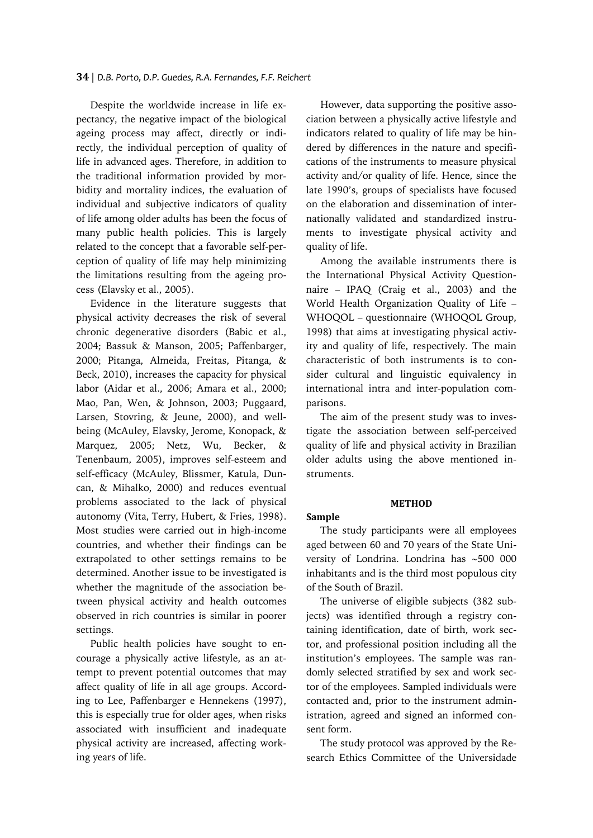#### **34** | *D.B. Porto, D.P. Guedes, R.A. Fernandes, F.F. Reichert*

Despite the worldwide increase in life expectancy, the negative impact of the biological ageing process may affect, directly or indirectly, the individual perception of quality of life in advanced ages. Therefore, in addition to the traditional information provided by morbidity and mortality indices, the evaluation of individual and subjective indicators of quality of life among older adults has been the focus of many public health policies. This is largely related to the concept that a favorable self-perception of quality of life may help minimizing the limitations resulting from the ageing process (Elavsky et al., 2005).

Evidence in the literature suggests that physical activity decreases the risk of several chronic degenerative disorders (Babic et al., 2004; Bassuk & Manson, 2005; Paffenbarger, 2000; Pitanga, Almeida, Freitas, Pitanga, & Beck, 2010), increases the capacity for physical labor (Aidar et al., 2006; Amara et al., 2000; Mao, Pan, Wen, & Johnson, 2003; Puggaard, Larsen, Stovring, & Jeune, 2000), and wellbeing (McAuley, Elavsky, Jerome, Konopack, & Marquez, 2005; Netz, Wu, Becker, & Tenenbaum, 2005), improves self-esteem and self-efficacy (McAuley, Blissmer, Katula, Duncan, & Mihalko, 2000) and reduces eventual problems associated to the lack of physical autonomy (Vita, Terry, Hubert, & Fries, 1998). Most studies were carried out in high-income countries, and whether their findings can be extrapolated to other settings remains to be determined. Another issue to be investigated is whether the magnitude of the association between physical activity and health outcomes observed in rich countries is similar in poorer settings.

Public health policies have sought to encourage a physically active lifestyle, as an attempt to prevent potential outcomes that may affect quality of life in all age groups. According to Lee, Paffenbarger e Hennekens (1997), this is especially true for older ages, when risks associated with insufficient and inadequate physical activity are increased, affecting working years of life.

However, data supporting the positive association between a physically active lifestyle and indicators related to quality of life may be hindered by differences in the nature and specifications of the instruments to measure physical activity and/or quality of life. Hence, since the late 1990's, groups of specialists have focused on the elaboration and dissemination of internationally validated and standardized instruments to investigate physical activity and quality of life.

Among the available instruments there is the International Physical Activity Questionnaire – IPAQ (Craig et al., 2003) and the World Health Organization Quality of Life – WHOQOL – questionnaire (WHOQOL Group, 1998) that aims at investigating physical activity and quality of life, respectively. The main characteristic of both instruments is to consider cultural and linguistic equivalency in international intra and inter-population comparisons.

The aim of the present study was to investigate the association between self-perceived quality of life and physical activity in Brazilian older adults using the above mentioned instruments.

#### **METHOD**

#### **Sample**

The study participants were all employees aged between 60 and 70 years of the State University of Londrina. Londrina has ∼500 000 inhabitants and is the third most populous city of the South of Brazil.

The universe of eligible subjects (382 subjects) was identified through a registry containing identification, date of birth, work sector, and professional position including all the institution's employees. The sample was randomly selected stratified by sex and work sector of the employees. Sampled individuals were contacted and, prior to the instrument administration, agreed and signed an informed consent form.

The study protocol was approved by the Research Ethics Committee of the Universidade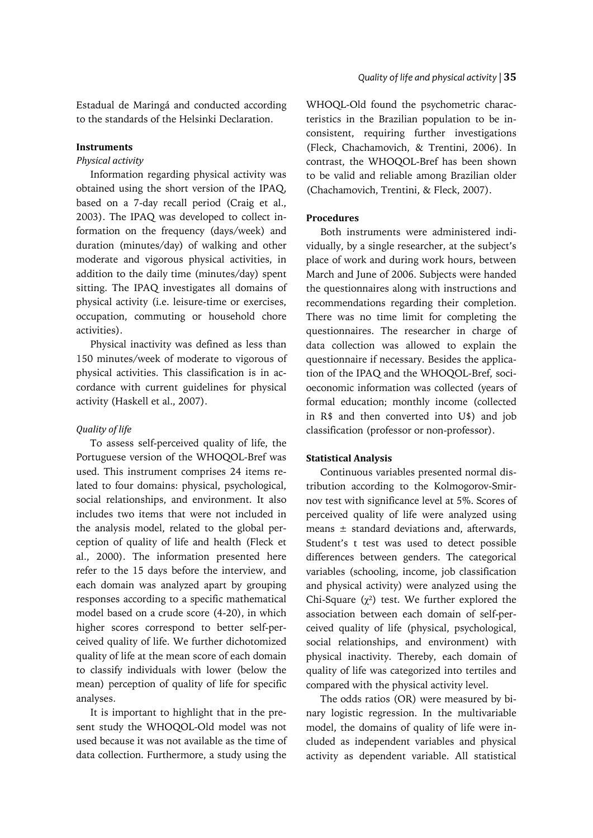Estadual de Maringá and conducted according to the standards of the Helsinki Declaration.

## **Instruments**

## *Physical activity*

Information regarding physical activity was obtained using the short version of the IPAQ, based on a 7-day recall period (Craig et al., 2003). The IPAQ was developed to collect information on the frequency (days/week) and duration (minutes/day) of walking and other moderate and vigorous physical activities, in addition to the daily time (minutes/day) spent sitting. The IPAQ investigates all domains of physical activity (i.e. leisure-time or exercises, occupation, commuting or household chore activities).

Physical inactivity was defined as less than 150 minutes/week of moderate to vigorous of physical activities. This classification is in accordance with current guidelines for physical activity (Haskell et al., 2007).

# *Quality of life*

To assess self-perceived quality of life, the Portuguese version of the WHOQOL-Bref was used. This instrument comprises 24 items related to four domains: physical, psychological, social relationships, and environment. It also includes two items that were not included in the analysis model, related to the global perception of quality of life and health (Fleck et al., 2000). The information presented here refer to the 15 days before the interview, and each domain was analyzed apart by grouping responses according to a specific mathematical model based on a crude score (4-20), in which higher scores correspond to better self-perceived quality of life. We further dichotomized quality of life at the mean score of each domain to classify individuals with lower (below the mean) perception of quality of life for specific analyses.

It is important to highlight that in the present study the WHOQOL-Old model was not used because it was not available as the time of data collection. Furthermore, a study using the WHOQL-Old found the psychometric characteristics in the Brazilian population to be inconsistent, requiring further investigations (Fleck, Chachamovich, & Trentini, 2006). In contrast, the WHOQOL-Bref has been shown to be valid and reliable among Brazilian older (Chachamovich, Trentini, & Fleck, 2007).

# **Procedures**

Both instruments were administered individually, by a single researcher, at the subject's place of work and during work hours, between March and June of 2006. Subjects were handed the questionnaires along with instructions and recommendations regarding their completion. There was no time limit for completing the questionnaires. The researcher in charge of data collection was allowed to explain the questionnaire if necessary. Besides the application of the IPAQ and the WHOQOL-Bref, socioeconomic information was collected (years of formal education; monthly income (collected in R\$ and then converted into U\$) and job classification (professor or non-professor).

# **Statistical Analysis**

Continuous variables presented normal distribution according to the Kolmogorov-Smirnov test with significance level at 5%. Scores of perceived quality of life were analyzed using means  $\pm$  standard deviations and, afterwards, Student's t test was used to detect possible differences between genders. The categorical variables (schooling, income, job classification and physical activity) were analyzed using the Chi-Square  $(\chi^2)$  test. We further explored the association between each domain of self-perceived quality of life (physical, psychological, social relationships, and environment) with physical inactivity. Thereby, each domain of quality of life was categorized into tertiles and compared with the physical activity level.

The odds ratios (OR) were measured by binary logistic regression. In the multivariable model, the domains of quality of life were included as independent variables and physical activity as dependent variable. All statistical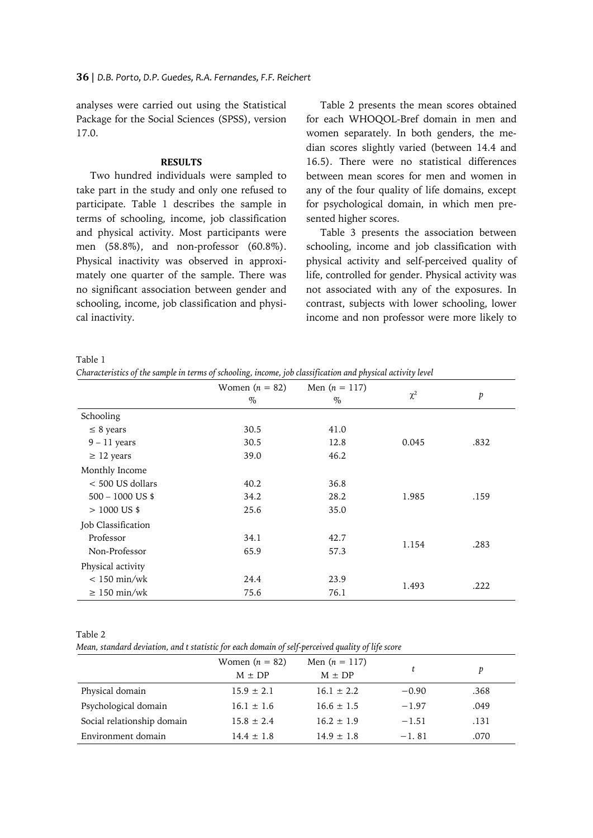analyses were carried out using the Statistical Package for the Social Sciences (SPSS), version 17.0.

## **RESULTS**

Two hundred individuals were sampled to take part in the study and only one refused to participate. Table 1 describes the sample in terms of schooling, income, job classification and physical activity. Most participants were men (58.8%), and non-professor (60.8%). Physical inactivity was observed in approximately one quarter of the sample. There was no significant association between gender and schooling, income, job classification and physical inactivity.

Table 2 presents the mean scores obtained for each WHOQOL-Bref domain in men and women separately. In both genders, the median scores slightly varied (between 14.4 and 16.5). There were no statistical differences between mean scores for men and women in any of the four quality of life domains, except for psychological domain, in which men presented higher scores.

Table 3 presents the association between schooling, income and job classification with physical activity and self-perceived quality of life, controlled for gender. Physical activity was not associated with any of the exposures. In contrast, subjects with lower schooling, lower income and non professor were more likely to

Table 1

*Characteristics of the sample in terms of schooling, income, job classification and physical activity level*

|                    | Women $(n = 82)$<br>$\%$ | Men $(n = 117)$<br>$\%$ | $\chi^2$ | p    |
|--------------------|--------------------------|-------------------------|----------|------|
| Schooling          |                          |                         |          |      |
| $\leq$ 8 years     | 30.5                     | 41.0                    |          |      |
| $9 - 11$ years     | 30.5                     | 12.8                    | 0.045    | .832 |
| $\geq$ 12 years    | 39.0                     | 46.2                    |          |      |
| Monthly Income     |                          |                         |          |      |
| $< 500$ US dollars | 40.2                     | 36.8                    |          |      |
| $500 - 1000$ US \$ | 34.2                     | 28.2                    | 1.985    | .159 |
| $>1000$ US \$      | 25.6                     | 35.0                    |          |      |
| Job Classification |                          |                         |          |      |
| Professor          | 34.1                     | 42.7                    |          |      |
| Non-Professor      | 65.9                     | 57.3                    | 1.154    | .283 |
| Physical activity  |                          |                         |          |      |
| $< 150$ min/wk     | 24.4                     | 23.9                    |          |      |
| $\geq 150$ min/wk  | 75.6                     | 76.1                    | 1.493    | .222 |

Table 2

*Mean, standard deviation, and t statistic for each domain of self-perceived quality of life score*

|                            | Women $(n = 82)$<br>$M \pm DP$ | Men $(n = 117)$<br>$M \pm DP$ |         | p    |
|----------------------------|--------------------------------|-------------------------------|---------|------|
| Physical domain            | $15.9 \pm 2.1$                 | $16.1 \pm 2.2$                | $-0.90$ | .368 |
| Psychological domain       | $16.1 \pm 1.6$                 | $16.6 \pm 1.5$                | $-1.97$ | .049 |
| Social relationship domain | $15.8 \pm 2.4$                 | $16.2 \pm 1.9$                | $-1.51$ | .131 |
| Environment domain         | $14.4 \pm 1.8$                 | $14.9 \pm 1.8$                | $-1.81$ | .070 |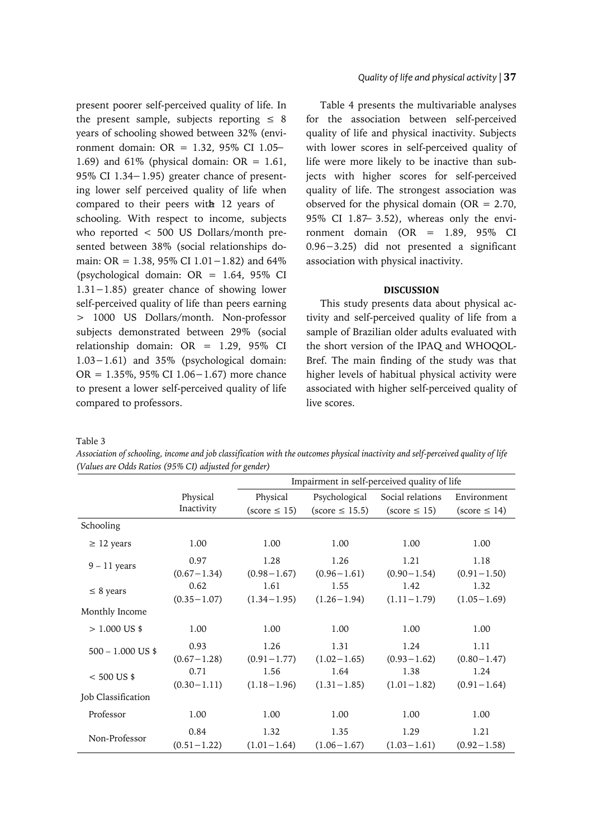present poorer self-perceived quality of life. In the present sample, subjects reporting  $\leq 8$ years of schooling showed between 32% (environment domain: OR = 1.32, 95% CI 1.05− 1.69) and 61% (physical domain:  $OR = 1.61$ , 95% CI 1.34−1.95) greater chance of presenting lower self perceived quality of life when compared to their peers with 12 years of schooling. With respect to income, subjects who reported < 500 US Dollars/month presented between 38% (social relationships domain: OR = 1.38, 95% CI 1.01−1.82) and 64% (psychological domain: OR = 1.64, 95% CI 1.31−1.85) greater chance of showing lower self-perceived quality of life than peers earning > 1000 US Dollars/month. Non-professor subjects demonstrated between 29% (social relationship domain: OR = 1.29, 95% CI 1.03−1.61) and 35% (psychological domain: OR = 1.35%, 95% CI 1.06−1.67) more chance to present a lower self-perceived quality of life compared to professors.

## *Quality of life and physical activity* | **37**

Table 4 presents the multivariable analyses for the association between self-perceived quality of life and physical inactivity. Subjects with lower scores in self-perceived quality of life were more likely to be inactive than subjects with higher scores for self-perceived quality of life. The strongest association was observed for the physical domain ( $OR = 2.70$ , 95% CI 1.87 3.52), whereas only the environment domain (OR = 1.89, 95% CI 0.96−3.25) did not presented a significant association with physical inactivity.

## **DISCUSSION**

This study presents data about physical activity and self-perceived quality of life from a sample of Brazilian older adults evaluated with the short version of the IPAQ and WHOQOL-Bref. The main finding of the study was that higher levels of habitual physical activity were associated with higher self-perceived quality of live scores.

Table 3

*Association of schooling, income and job classification with the outcomes physical inactivity and self-perceived quality of life (Values are Odds Ratios (95% CI) adjusted for gender)*

|                     |                 | Impairment in self-perceived quality of life |                     |                   |                   |
|---------------------|-----------------|----------------------------------------------|---------------------|-------------------|-------------------|
|                     | Physical        | Physical                                     | Psychological       | Social relations  | Environment       |
|                     | Inactivity      | $(score \leq 15)$                            | $(score \leq 15.5)$ | $(score \leq 15)$ | $(score \leq 14)$ |
| Schooling           |                 |                                              |                     |                   |                   |
| $\geq$ 12 years     | 1.00            | 1.00                                         | 1.00                | 1.00              | 1.00              |
| $9 - 11$ years      | 0.97            | 1.28                                         | 1.26                | 1.21              | 1.18              |
|                     | $(0.67 - 1.34)$ | $(0.98 - 1.67)$                              | $(0.96 - 1.61)$     | $(0.90 - 1.54)$   | $(0.91 - 1.50)$   |
| $\leq 8$ years      | 0.62            | 1.61                                         | 1.55                | 1.42              | 1.32              |
|                     | $(0.35 - 1.07)$ | $(1.34 - 1.95)$                              | $(1.26 - 1.94)$     | $(1.11 - 1.79)$   | $(1.05 - 1.69)$   |
| Monthly Income      |                 |                                              |                     |                   |                   |
| $> 1.000$ US \$     | 1.00            | 1.00                                         | 1.00                | 1.00              | 1.00              |
| $500 - 1.000$ US \$ | 0.93            | 1.26                                         | 1.31                | 1.24              | 1.11              |
|                     | $(0.67 - 1.28)$ | $(0.91 - 1.77)$                              | $(1.02 - 1.65)$     | $(0.93 - 1.62)$   | $(0.80 - 1.47)$   |
| $< 500$ US \$       | 0.71            | 1.56                                         | 1.64                | 1.38              | 1.24              |
|                     | $(0.30 - 1.11)$ | $(1.18 - 1.96)$                              | $(1.31 - 1.85)$     | $(1.01 - 1.82)$   | $(0.91 - 1.64)$   |
| Job Classification  |                 |                                              |                     |                   |                   |
| Professor           | 1.00            | 1.00                                         | 1.00                | 1.00              | 1.00              |
| Non-Professor       | 0.84            | 1.32                                         | 1.35                | 1.29              | 1.21              |
|                     | $(0.51 - 1.22)$ | $(1.01 - 1.64)$                              | $(1.06 - 1.67)$     | $(1.03 - 1.61)$   | $(0.92 - 1.58)$   |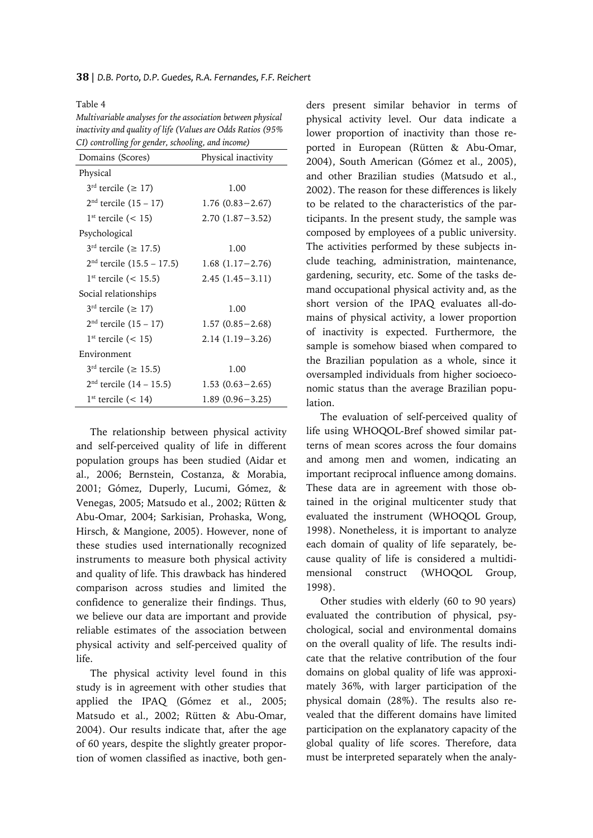Table 4 *Multivariable analyses for the association between physical inactivity and quality of life (Values are Odds Ratios (95% CI) controlling for gender, schooling, and income)*

| Domains (Scores)                        | Physical inactivity |  |  |
|-----------------------------------------|---------------------|--|--|
| Physical                                |                     |  |  |
| $3^{\text{rd}}$ tercile ( $\geq 17$ )   | 1.00                |  |  |
| $2nd$ tercile $(15 – 17)$               | $1.76(0.83 - 2.67)$ |  |  |
| $1st$ tercile (< 15)                    | $2.70(1.87 - 3.52)$ |  |  |
| Psychological                           |                     |  |  |
| $3^{rd}$ tercile ( $\geq 17.5$ )        | 1.00                |  |  |
| $2nd$ tercile $(15.5 – 17.5)$           | $1.68(1.17-2.76)$   |  |  |
| $1st$ tercile (< 15.5)                  | $2.45(1.45-3.11)$   |  |  |
| Social relationships                    |                     |  |  |
| $3^{rd}$ tercile ( $\geq 17$ )          | 1.00                |  |  |
| $2nd$ tercile $(15 - 17)$               | $1.57(0.85 - 2.68)$ |  |  |
| $1st$ tercile (< 15)                    | $2.14(1.19-3.26)$   |  |  |
| Environment                             |                     |  |  |
| $3^{\text{rd}}$ tercile ( $\geq 15.5$ ) | 1.00                |  |  |
| $2nd$ tercile $(14 – 15.5)$             | $1.53(0.63 - 2.65)$ |  |  |
| $1st$ tercile (< 14)                    | $1.89(0.96 - 3.25)$ |  |  |

The relationship between physical activity and self-perceived quality of life in different population groups has been studied (Aidar et al., 2006; Bernstein, Costanza, & Morabia, 2001; Gómez, Duperly, Lucumi, Gómez, & Venegas, 2005; Matsudo et al., 2002; Rütten & Abu-Omar, 2004; Sarkisian, Prohaska, Wong, Hirsch, & Mangione, 2005). However, none of these studies used internationally recognized instruments to measure both physical activity and quality of life. This drawback has hindered comparison across studies and limited the confidence to generalize their findings. Thus, we believe our data are important and provide reliable estimates of the association between physical activity and self-perceived quality of life.

The physical activity level found in this study is in agreement with other studies that applied the IPAQ (Gómez et al., 2005; Matsudo et al., 2002; Rütten & Abu-Omar, 2004). Our results indicate that, after the age of 60 years, despite the slightly greater proportion of women classified as inactive, both genders present similar behavior in terms of physical activity level. Our data indicate a lower proportion of inactivity than those reported in European (Rütten & Abu-Omar, 2004), South American (Gómez et al., 2005), and other Brazilian studies (Matsudo et al., 2002). The reason for these differences is likely to be related to the characteristics of the participants. In the present study, the sample was composed by employees of a public university. The activities performed by these subjects include teaching, administration, maintenance, gardening, security, etc. Some of the tasks demand occupational physical activity and, as the short version of the IPAQ evaluates all-domains of physical activity, a lower proportion of inactivity is expected. Furthermore, the sample is somehow biased when compared to the Brazilian population as a whole, since it oversampled individuals from higher socioeconomic status than the average Brazilian population.

The evaluation of self-perceived quality of life using WHOQOL-Bref showed similar patterns of mean scores across the four domains and among men and women, indicating an important reciprocal influence among domains. These data are in agreement with those obtained in the original multicenter study that evaluated the instrument (WHOQOL Group, 1998). Nonetheless, it is important to analyze each domain of quality of life separately, because quality of life is considered a multidimensional construct (WHOQOL Group, 1998).

Other studies with elderly (60 to 90 years) evaluated the contribution of physical, psychological, social and environmental domains on the overall quality of life. The results indicate that the relative contribution of the four domains on global quality of life was approximately 36%, with larger participation of the physical domain (28%). The results also revealed that the different domains have limited participation on the explanatory capacity of the global quality of life scores. Therefore, data must be interpreted separately when the analy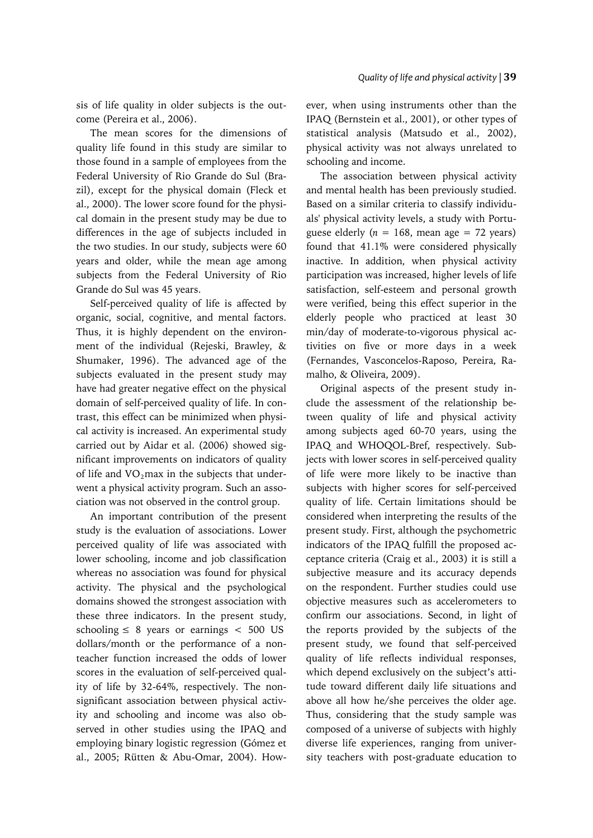sis of life quality in older subjects is the outcome (Pereira et al., 2006).

The mean scores for the dimensions of quality life found in this study are similar to those found in a sample of employees from the Federal University of Rio Grande do Sul (Brazil), except for the physical domain (Fleck et al., 2000). The lower score found for the physical domain in the present study may be due to differences in the age of subjects included in the two studies. In our study, subjects were 60 years and older, while the mean age among subjects from the Federal University of Rio Grande do Sul was 45 years.

Self-perceived quality of life is affected by organic, social, cognitive, and mental factors. Thus, it is highly dependent on the environment of the individual (Rejeski, Brawley, & Shumaker, 1996). The advanced age of the subjects evaluated in the present study may have had greater negative effect on the physical domain of self-perceived quality of life. In contrast, this effect can be minimized when physical activity is increased. An experimental study carried out by Aidar et al. (2006) showed significant improvements on indicators of quality of life and  $VO<sub>2</sub>$ max in the subjects that underwent a physical activity program. Such an association was not observed in the control group.

An important contribution of the present study is the evaluation of associations. Lower perceived quality of life was associated with lower schooling, income and job classification whereas no association was found for physical activity. The physical and the psychological domains showed the strongest association with these three indicators. In the present study, schooling  $\leq 8$  years or earnings  $< 500$  US dollars/month or the performance of a nonteacher function increased the odds of lower scores in the evaluation of self-perceived quality of life by 32-64%, respectively. The nonsignificant association between physical activity and schooling and income was also observed in other studies using the IPAQ and employing binary logistic regression (Gómez et al., 2005; Rütten & Abu-Omar, 2004). However, when using instruments other than the IPAQ (Bernstein et al., 2001), or other types of statistical analysis (Matsudo et al., 2002), physical activity was not always unrelated to schooling and income.

The association between physical activity and mental health has been previously studied. Based on a similar criteria to classify individuals' physical activity levels, a study with Portuguese elderly ( $n = 168$ , mean age = 72 years) found that 41.1% were considered physically inactive. In addition, when physical activity participation was increased, higher levels of life satisfaction, self-esteem and personal growth were verified, being this effect superior in the elderly people who practiced at least 30 min/day of moderate-to-vigorous physical activities on five or more days in a week (Fernandes, Vasconcelos-Raposo, Pereira, Ramalho, & Oliveira, 2009).

Original aspects of the present study include the assessment of the relationship between quality of life and physical activity among subjects aged 60-70 years, using the IPAQ and WHOQOL-Bref, respectively. Subjects with lower scores in self-perceived quality of life were more likely to be inactive than subjects with higher scores for self-perceived quality of life. Certain limitations should be considered when interpreting the results of the present study. First, although the psychometric indicators of the IPAQ fulfill the proposed acceptance criteria (Craig et al., 2003) it is still a subjective measure and its accuracy depends on the respondent. Further studies could use objective measures such as accelerometers to confirm our associations. Second, in light of the reports provided by the subjects of the present study, we found that self-perceived quality of life reflects individual responses, which depend exclusively on the subject's attitude toward different daily life situations and above all how he/she perceives the older age. Thus, considering that the study sample was composed of a universe of subjects with highly diverse life experiences, ranging from university teachers with post-graduate education to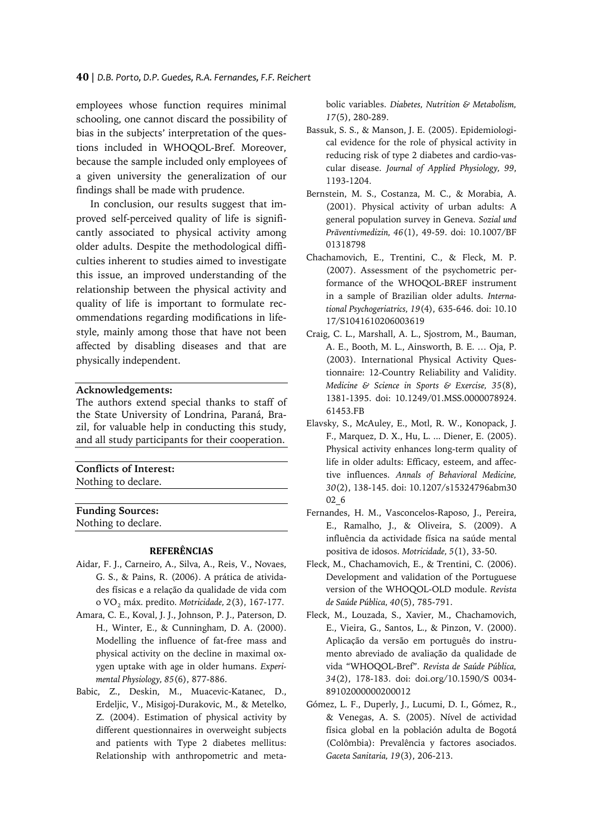employees whose function requires minimal schooling, one cannot discard the possibility of bias in the subjects' interpretation of the questions included in WHOQOL-Bref. Moreover, because the sample included only employees of a given university the generalization of our findings shall be made with prudence.

In conclusion, our results suggest that improved self-perceived quality of life is significantly associated to physical activity among older adults. Despite the methodological difficulties inherent to studies aimed to investigate this issue, an improved understanding of the relationship between the physical activity and quality of life is important to formulate recommendations regarding modifications in lifestyle, mainly among those that have not been affected by disabling diseases and that are physically independent.

## **Acknowledgements:**

The authors extend special thanks to staff of the State University of Londrina, Paraná, Brazil, for valuable help in conducting this study, and all study participants for their cooperation.

## **Conflicts of Interest:**

Nothing to declare.

**Funding Sources:** Nothing to declare.

#### **REFERÊNCIAS**

- Aidar, F. J., Carneiro, A., Silva, A., Reis, V., Novaes, G. S., & Pains, R. (2006). A prática de atividades físicas e a relação da qualidade de vida com o VO2 máx. predito. *Motricidade, 2*(3), 167-177.
- Amara, C. E., Koval, J. J., Johnson, P. J., Paterson, D. H., Winter, E., & Cunningham, D. A. (2000). Modelling the influence of fat-free mass and physical activity on the decline in maximal oxygen uptake with age in older humans. *Experimental Physiology, 85*(6), 877-886.
- Babic, Z., Deskin, M., Muacevic-Katanec, D., Erdeljic, V., Misigoj-Durakovic, M., & Metelko, Z. (2004). Estimation of physical activity by different questionnaires in overweight subjects and patients with Type 2 diabetes mellitus: Relationship with anthropometric and meta-

bolic variables. *Diabetes, Nutrition & Metabolism, 17*(5), 280-289.

- Bassuk, S. S., & Manson, J. E. (2005). Epidemiological evidence for the role of physical activity in reducing risk of type 2 diabetes and cardio-vascular disease. *Journal of Applied Physiology, 99*, 1193-1204.
- Bernstein, M. S., Costanza, M. C., & Morabia, A. (2001). Physical activity of urban adults: A general population survey in Geneva. *Sozial und Präventivmedizin, 46*(1), 49-59. doi: 10.1007/BF 01318798
- Chachamovich, E., Trentini, C., & Fleck, M. P. (2007). Assessment of the psychometric performance of the WHOQOL-BREF instrument in a sample of Brazilian older adults. *International Psychogeriatrics, 19*(4), 635-646. doi: 10.10 17/S1041610206003619
- Craig, C. L., Marshall, A. L., Sjostrom, M., Bauman, A. E., Booth, M. L., Ainsworth, B. E. … Oja, P. (2003). International Physical Activity Questionnaire: 12-Country Reliability and Validity. *Medicine & Science in Sports & Exercise, 35*(8), 1381-1395. doi: 10.1249/01.MSS.0000078924. 61453.FB
- Elavsky, S., McAuley, E., Motl, R. W., Konopack, J. F., Marquez, D. X., Hu, L. ... Diener, E. (2005). Physical activity enhances long-term quality of life in older adults: Efficacy, esteem, and affective influences. *Annals of Behavioral Medicine, 30*(2), 138-145. doi: 10.1207/s15324796abm30 02\_6
- Fernandes, H. M., Vasconcelos-Raposo, J., Pereira, E., Ramalho, J., & Oliveira, S. (2009). A influência da actividade física na saúde mental positiva de idosos. *Motricidade, 5*(1), 33-50.
- Fleck, M., Chachamovich, E., & Trentini, C. (2006). Development and validation of the Portuguese version of the WHOQOL-OLD module. *Revista de Saúde Pública, 40*(5), 785-791.
- Fleck, M., Louzada, S., Xavier, M., Chachamovich, E., Vieira, G., Santos, L., & Pinzon, V. (2000). Aplicação da versão em português do instrumento abreviado de avaliação da qualidade de vida "WHOQOL-Bref". *Revista de Saúde Pública, 34*(2), 178-183. doi: doi.org/10.1590/S 0034- 89102000000200012
- Gómez, L. F., Duperly, J., Lucumi, D. I., Gómez, R., & Venegas, A. S. (2005). Nível de actividad física global en la población adulta de Bogotá (Colômbia): Prevalência y factores asociados. *Gaceta Sanitaria, 19*(3), 206-213.